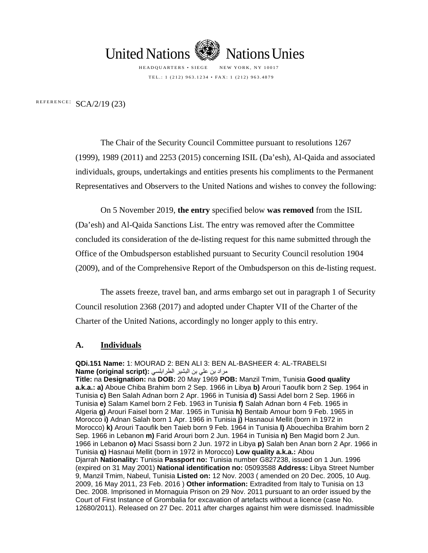

HEADQUARTERS • SIEGE NEW YORK, NY 10017 TEL.: 1 (212) 963.1234 • FAX: 1 (212) 963.4879

REFERENCE:  $SCA/2/19$  (23)

The Chair of the Security Council Committee pursuant to resolutions 1267 (1999), 1989 (2011) and 2253 (2015) concerning ISIL (Da'esh), Al-Qaida and associated individuals, groups, undertakings and entities presents his compliments to the Permanent Representatives and Observers to the United Nations and wishes to convey the following:

On 5 November 2019, **the entry** specified below **was removed** from the ISIL (Da'esh) and Al-Qaida Sanctions List. The entry was removed after the Committee concluded its consideration of the de-listing request for this name submitted through the Office of the Ombudsperson established pursuant to Security Council resolution 1904 (2009), and of the Comprehensive Report of the Ombudsperson on this de-listing request.

The assets freeze, travel ban, and arms embargo set out in paragraph 1 of Security Council resolution 2368 (2017) and adopted under Chapter VII of the Charter of the Charter of the United Nations, accordingly no longer apply to this entry.

## **A. Individuals**

**QDi.151 Name:** 1: MOURAD 2: BEN ALI 3: BEN AL-BASHEER 4: AL-TRABELSI مراد بن علي بن البشیر الطرابلسي **:(script original (Name** *43T***Title:** *43T*na*43T* **Designation:** *43T*na*43T* **DOB:** *43T*20 May 1969*43T* **POB:** *43T*Manzil Tmim, Tunisia *43T***Good quality a.k.a.: a)** Aboue Chiba Brahim born 2 Sep. 1966 in Libya b) Arouri Taoufik born 2 Sep. 1964 in Tunisia **c)** Ben Salah Adnan born 2 Apr. 1966 in Tunisia **d)** Sassi Adel born 2 Sep. 1966 in Tunisia e) Salam Kamel born 2 Feb. 1963 in Tunisia f) Salah Adnan born 4 Feb. 1965 in Algeria g) Arouri Faisel born 2 Mar. 1965 in Tunisia **h**) Bentaib Amour born 9 Feb. 1965 in Morocco *43T***i)** *43T*Adnan Salah born 1 Apr. 1966 in Tunisia *43T***j)** *43T*Hasnaoui Mellit (born in 1972 in Morocco) *43T***k)** *43T*Arouri Taoufik ben Taieb born 9 Feb. 1964 in Tunisia *43T***l)** *43T*Abouechiba Brahim born 2 Sep. 1966 in Lebanon *m*) Farid Arouri born 2 Jun. 1964 in Tunisia *n*) Ben Magid born 2 Jun. 1966 in Lebanon **o)** Maci Ssassi born 2 Jun. 1972 in Libya **p)** Salah ben Anan born 2 Apr. 1966 in Tunisia **q)** Hasnaui Mellit (born in 1972 in Morocco) Low quality a.k.a.: Abou Djarrah Nationality: Tunisia Passport no: Tunisia number G827238, issued on 1 Jun. 1996 (expired on 31 May 2001) *43T***National identification no:** *43T*05093588*43T* **Address:** *43T*Libya Street Number 9, Manzil Tmim, Nabeul, Tunisia Listed on: 12 Nov. 2003 (amended on 20 Dec. 2005, 10 Aug. 2009, 16 May 2011, 23 Feb. 2016 ) Other information: Extradited from Italy to Tunisia on 13 Dec. 2008. Imprisoned in Mornaguia Prison on 29 Nov. 2011 pursuant to an order issued by the Court of First Instance of Grombalia for excavation of artefacts without a licence (case No. 12680/2011). Released on 27 Dec. 2011 after charges against him were dismissed. Inadmissible